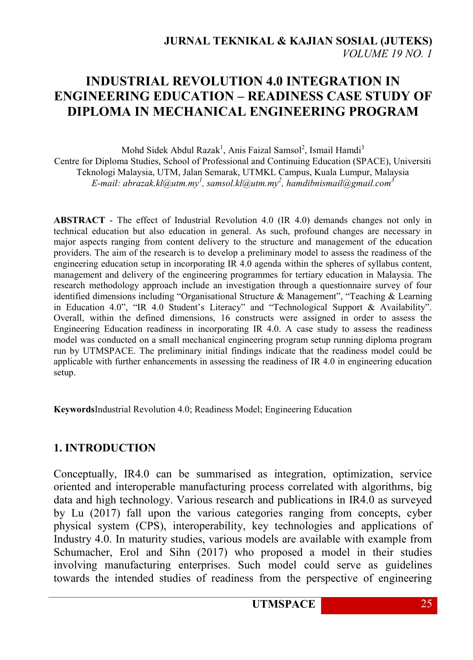# **INDUSTRIAL REVOLUTION 4.0 INTEGRATION IN ENGINEERING EDUCATION – READINESS CASE STUDY OF DIPLOMA IN MECHANICAL ENGINEERING PROGRAM**

Mohd Sidek Abdul Razak<sup>1</sup>, Anis Faizal Samsol<sup>2</sup>, Ismail Hamdi<sup>3</sup> Centre for Diploma Studies, School of Professional and Continuing Education (SPACE), Universiti Teknologi Malaysia, UTM, Jalan Semarak, UTMKL Campus, Kuala Lumpur, Malaysia *E-mail: abrazak.kl@utm.my<sup>1</sup> , samsol.kl@utm.my<sup>2</sup> , hamdibnismail@gmail.com<sup>3</sup>*

**ABSTRACT** - The effect of Industrial Revolution 4.0 (IR 4.0) demands changes not only in technical education but also education in general. As such, profound changes are necessary in major aspects ranging from content delivery to the structure and management of the education providers. The aim of the research is to develop a preliminary model to assess the readiness of the engineering education setup in incorporating IR 4.0 agenda within the spheres of syllabus content, management and delivery of the engineering programmes for tertiary education in Malaysia. The research methodology approach include an investigation through a questionnaire survey of four identified dimensions including "Organisational Structure & Management", "Teaching & Learning in Education 4.0", "IR 4.0 Student's Literacy" and "Technological Support & Availability". Overall, within the defined dimensions, 16 constructs were assigned in order to assess the Engineering Education readiness in incorporating IR 4.0. A case study to assess the readiness model was conducted on a small mechanical engineering program setup running diploma program run by UTMSPACE. The preliminary initial findings indicate that the readiness model could be applicable with further enhancements in assessing the readiness of IR 4.0 in engineering education setup.

**Keywords**Industrial Revolution 4.0; Readiness Model; Engineering Education

#### **1. INTRODUCTION**

Conceptually, IR4.0 can be summarised as integration, optimization, service oriented and interoperable manufacturing process correlated with algorithms, big data and high technology. Various research and publications in IR4.0 as surveyed by Lu (2017) fall upon the various categories ranging from concepts, cyber physical system (CPS), interoperability, key technologies and applications of Industry 4.0. In maturity studies, various models are available with example from Schumacher, Erol and Sihn (2017) who proposed a model in their studies involving manufacturing enterprises. Such model could serve as guidelines towards the intended studies of readiness from the perspective of engineering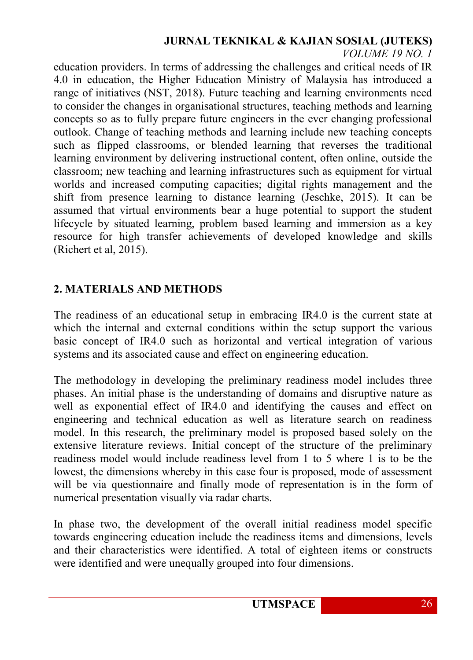# **JURNAL TEKNIKAL & KAJIAN SOSIAL (JUTEKS)**

*VOLUME 19 NO. 1*

education providers. In terms of addressing the challenges and critical needs of IR 4.0 in education, the Higher Education Ministry of Malaysia has introduced a range of initiatives (NST, 2018). Future teaching and learning environments need to consider the changes in organisational structures, teaching methods and learning concepts so as to fully prepare future engineers in the ever changing professional outlook. Change of teaching methods and learning include new teaching concepts such as flipped classrooms, or blended learning that reverses the traditional learning environment by delivering instructional content, often online, outside the classroom; new teaching and learning infrastructures such as equipment for virtual worlds and increased computing capacities; digital rights management and the shift from presence learning to distance learning (Jeschke, 2015). It can be assumed that virtual environments bear a huge potential to support the student lifecycle by situated learning, problem based learning and immersion as a key resource for high transfer achievements of developed knowledge and skills (Richert et al, 2015).

## **2. MATERIALS AND METHODS**

The readiness of an educational setup in embracing IR4.0 is the current state at which the internal and external conditions within the setup support the various basic concept of IR4.0 such as horizontal and vertical integration of various systems and its associated cause and effect on engineering education.

The methodology in developing the preliminary readiness model includes three phases. An initial phase is the understanding of domains and disruptive nature as well as exponential effect of IR4.0 and identifying the causes and effect on engineering and technical education as well as literature search on readiness model. In this research, the preliminary model is proposed based solely on the extensive literature reviews. Initial concept of the structure of the preliminary readiness model would include readiness level from 1 to 5 where 1 is to be the lowest, the dimensions whereby in this case four is proposed, mode of assessment will be via questionnaire and finally mode of representation is in the form of numerical presentation visually via radar charts.

In phase two, the development of the overall initial readiness model specific towards engineering education include the readiness items and dimensions, levels and their characteristics were identified. A total of eighteen items or constructs were identified and were unequally grouped into four dimensions.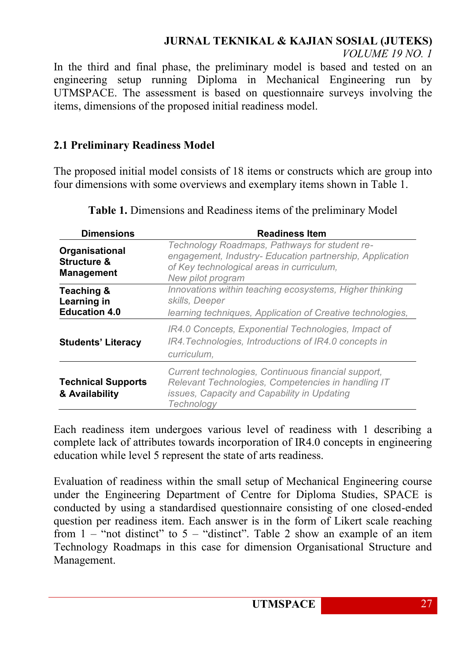#### **JURNAL TEKNIKAL & KAJIAN SOSIAL (JUTEKS)**

*VOLUME 19 NO. 1*

In the third and final phase, the preliminary model is based and tested on an engineering setup running Diploma in Mechanical Engineering run by UTMSPACE. The assessment is based on questionnaire surveys involving the items, dimensions of the proposed initial readiness model.

## **2.1 Preliminary Readiness Model**

The proposed initial model consists of 18 items or constructs which are group into four dimensions with some overviews and exemplary items shown in Table 1.

| <b>Dimensions</b>                                             | <b>Readiness Item</b>                                                                                                                                                       |
|---------------------------------------------------------------|-----------------------------------------------------------------------------------------------------------------------------------------------------------------------------|
| Organisational<br><b>Structure &amp;</b><br><b>Management</b> | Technology Roadmaps, Pathways for student re-<br>engagement, Industry- Education partnership, Application<br>of Key technological areas in curriculum,<br>New pilot program |
| Teaching &<br><b>Learning in</b><br><b>Education 4.0</b>      | Innovations within teaching ecosystems, Higher thinking<br>skills, Deeper<br>learning techniques, Application of Creative technologies,                                     |
| <b>Students' Literacy</b>                                     | IR4.0 Concepts, Exponential Technologies, Impact of<br>IR4. Technologies, Introductions of IR4.0 concepts in<br>curriculum.                                                 |
| <b>Technical Supports</b><br>& Availability                   | Current technologies, Continuous financial support,<br>Relevant Technologies, Competencies in handling IT<br>issues, Capacity and Capability in Updating<br>Technology      |

**Table 1.** Dimensions and Readiness items of the preliminary Model

Each readiness item undergoes various level of readiness with 1 describing a complete lack of attributes towards incorporation of IR4.0 concepts in engineering education while level 5 represent the state of arts readiness.

Evaluation of readiness within the small setup of Mechanical Engineering course under the Engineering Department of Centre for Diploma Studies, SPACE is conducted by using a standardised questionnaire consisting of one closed-ended question per readiness item. Each answer is in the form of Likert scale reaching from  $1 -$  "not distinct" to  $5 -$  "distinct". Table 2 show an example of an item Technology Roadmaps in this case for dimension Organisational Structure and Management.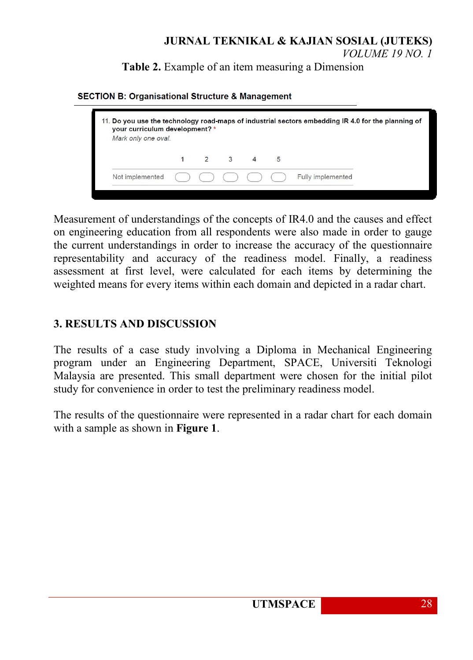#### **JURNAL TEKNIKAL & KAJIAN SOSIAL (JUTEKS)** *VOLUME 19 NO. 1*

**Table 2.** Example of an item measuring a Dimension

**SECTION B: Organisational Structure & Management** 



Measurement of understandings of the concepts of IR4.0 and the causes and effect on engineering education from all respondents were also made in order to gauge the current understandings in order to increase the accuracy of the questionnaire representability and accuracy of the readiness model. Finally, a readiness assessment at first level, were calculated for each items by determining the weighted means for every items within each domain and depicted in a radar chart.

#### **3. RESULTS AND DISCUSSION**

The results of a case study involving a Diploma in Mechanical Engineering program under an Engineering Department, SPACE, Universiti Teknologi Malaysia are presented. This small department were chosen for the initial pilot study for convenience in order to test the preliminary readiness model.

The results of the questionnaire were represented in a radar chart for each domain with a sample as shown in **Figure 1**.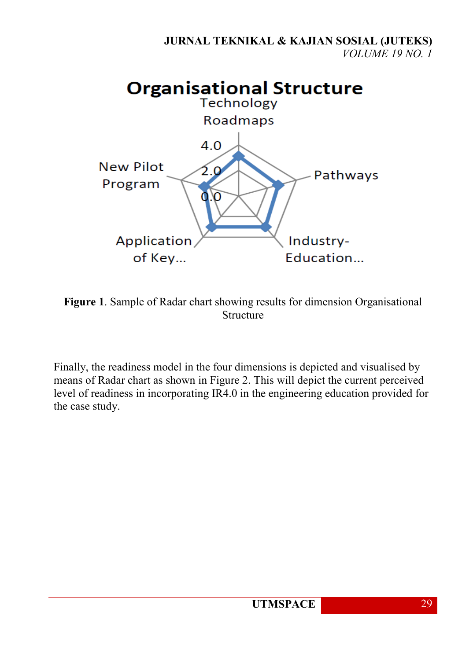

**Figure 1**. Sample of Radar chart showing results for dimension Organisational Structure

Finally, the readiness model in the four dimensions is depicted and visualised by means of Radar chart as shown in Figure 2. This will depict the current perceived level of readiness in incorporating IR4.0 in the engineering education provided for the case study.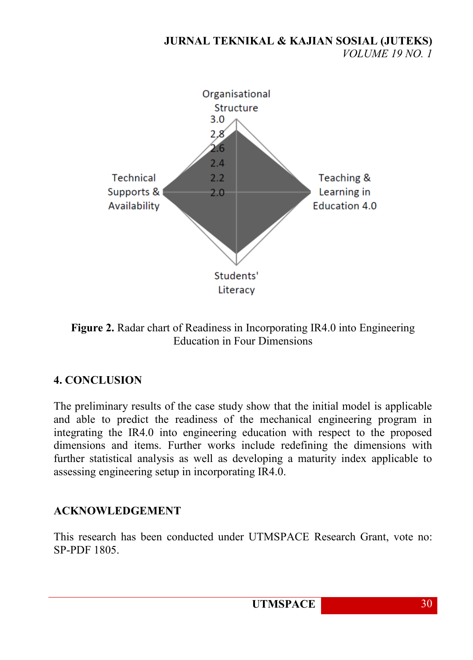

**Figure 2.** Radar chart of Readiness in Incorporating IR4.0 into Engineering Education in Four Dimensions

## **4. CONCLUSION**

The preliminary results of the case study show that the initial model is applicable and able to predict the readiness of the mechanical engineering program in integrating the IR4.0 into engineering education with respect to the proposed dimensions and items. Further works include redefining the dimensions with further statistical analysis as well as developing a maturity index applicable to assessing engineering setup in incorporating IR4.0.

### **ACKNOWLEDGEMENT**

This research has been conducted under UTMSPACE Research Grant, vote no: SP-PDF 1805.